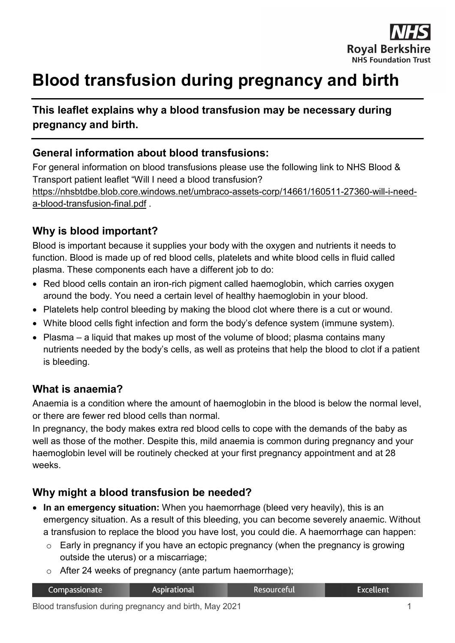

# **Blood transfusion during pregnancy and birth**

# **This leaflet explains why a blood transfusion may be necessary during pregnancy and birth.**

### **General information about blood transfusions:**

For general information on blood transfusions please use the following link to NHS Blood & Transport patient leaflet "Will I need a blood transfusion? [https://nhsbtdbe.blob.core.windows.net/umbraco-assets-corp/14661/160511-27360-will-i-need-](https://nhsbtdbe.blob.core.windows.net/umbraco-assets-corp/14661/160511-27360-will-i-need-a-blood-transfusion-final.pdf)

[a-blood-transfusion-final.pdf](https://nhsbtdbe.blob.core.windows.net/umbraco-assets-corp/14661/160511-27360-will-i-need-a-blood-transfusion-final.pdf) .

#### **Why is blood important?**

Blood is important because it supplies your body with the oxygen and nutrients it needs to function. Blood is made up of red blood cells, platelets and white blood cells in fluid called plasma. These components each have a different job to do:

- Red blood cells contain an iron-rich pigment called haemoglobin, which carries oxygen around the body. You need a certain level of healthy haemoglobin in your blood.
- Platelets help control bleeding by making the blood clot where there is a cut or wound.
- White blood cells fight infection and form the body's defence system (immune system).
- Plasma a liquid that makes up most of the volume of blood; plasma contains many nutrients needed by the body's cells, as well as proteins that help the blood to clot if a patient is bleeding.

#### **What is anaemia?**

Anaemia is a condition where the amount of haemoglobin in the blood is below the normal level, or there are fewer red blood cells than normal.

In pregnancy, the body makes extra red blood cells to cope with the demands of the baby as well as those of the mother. Despite this, mild anaemia is common during pregnancy and your haemoglobin level will be routinely checked at your first pregnancy appointment and at 28 weeks.

#### **Why might a blood transfusion be needed?**

- **In an emergency situation:** When you haemorrhage (bleed very heavily), this is an emergency situation. As a result of this bleeding, you can become severely anaemic. Without a transfusion to replace the blood you have lost, you could die. A haemorrhage can happen:
	- $\circ$  Early in pregnancy if you have an ectopic pregnancy (when the pregnancy is growing outside the uterus) or a miscarriage;
	- o After 24 weeks of pregnancy (ante partum haemorrhage);

| Compassionate | Aspirational | Resourceful | Excellent <sup>'</sup> |
|---------------|--------------|-------------|------------------------|
|               |              |             |                        |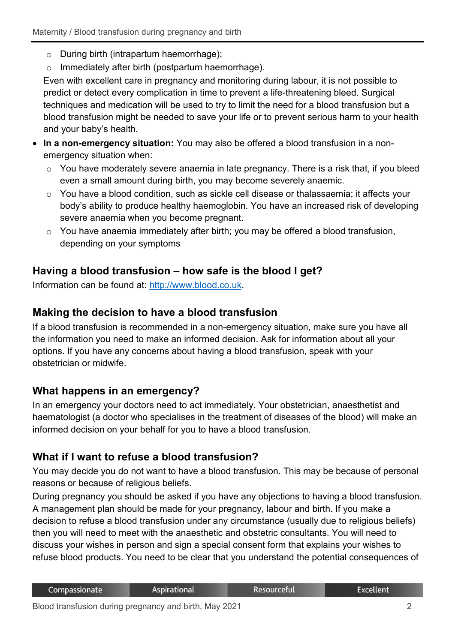- o During birth (intrapartum haemorrhage);
- o Immediately after birth (postpartum haemorrhage).

Even with excellent care in pregnancy and monitoring during labour, it is not possible to predict or detect every complication in time to prevent a life-threatening bleed. Surgical techniques and medication will be used to try to limit the need for a blood transfusion but a blood transfusion might be needed to save your life or to prevent serious harm to your health and your baby's health.

- **In a non-emergency situation:** You may also be offered a blood transfusion in a nonemergency situation when:
	- $\circ$  You have moderately severe anaemia in late pregnancy. There is a risk that, if you bleed even a small amount during birth, you may become severely anaemic.
	- o You have a blood condition, such as sickle cell disease or thalassaemia; it affects your body's ability to produce healthy haemoglobin. You have an increased risk of developing severe anaemia when you become pregnant.
	- o You have anaemia immediately after birth; you may be offered a blood transfusion, depending on your symptoms

# **Having a blood transfusion – how safe is the blood I get?**

Information can be found at: [http://www.blood.co.uk.](http://www.blood.co.uk/)

## **Making the decision to have a blood transfusion**

If a blood transfusion is recommended in a non-emergency situation, make sure you have all the information you need to make an informed decision. Ask for information about all your options. If you have any concerns about having a blood transfusion, speak with your obstetrician or midwife.

## **What happens in an emergency?**

In an emergency your doctors need to act immediately. Your obstetrician, anaesthetist and haematologist (a doctor who specialises in the treatment of diseases of the blood) will make an informed decision on your behalf for you to have a blood transfusion.

# **What if I want to refuse a blood transfusion?**

You may decide you do not want to have a blood transfusion. This may be because of personal reasons or because of religious beliefs.

During pregnancy you should be asked if you have any objections to having a blood transfusion. A management plan should be made for your pregnancy, labour and birth. If you make a decision to refuse a blood transfusion under any circumstance (usually due to religious beliefs) then you will need to meet with the anaesthetic and obstetric consultants. You will need to discuss your wishes in person and sign a special consent form that explains your wishes to refuse blood products. You need to be clear that you understand the potential consequences of

| Compassionate | Aspirational | Resourceful | Excellent |
|---------------|--------------|-------------|-----------|
|               |              |             |           |